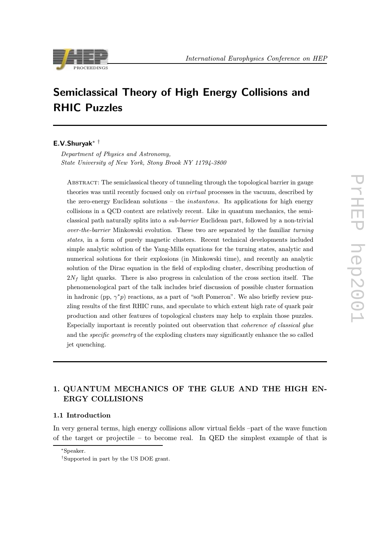



# Semiclassical Theory of High Energy Collisions and RHIC Puzzles

### E.V.Shuryak∗ †

Department of Physics and Astronomy, State University of New York, Stony Brook NY 11794-3800

ABSTRACT: The semiclassical theory of tunneling through the topological barrier in gauge theories was until recently focused only on virtual processes in the vacuum, described by the zero-energy Euclidean solutions – the *instantons*. Its applications for high energy collisions in a QCD context are relatively recent. Like in quantum mechanics, the semiclassical path naturally splits into a sub-barrier Euclidean part, followed by a non-trivial over-the-barrier Minkowski evolution. These two are separated by the familiar turning states, in a form of purely magnetic clusters. Recent technical developments included simple analytic solution of the Yang-Mills equations for the turning states, analytic and numerical solutions for their explosions (in Minkowski time), and recently an analytic solution of the Dirac equation in the field of exploding cluster, describing production of  $2N_f$  light quarks. There is also progress in calculation of the cross section itself. The phenomenological part of the talk includes brief discussion of possible cluster formation in hadronic (pp,  $\gamma^* p$ ) reactions, as a part of "soft Pomeron". We also briefly review puzzling results of the first RHIC runs, and speculate to which extent high rate of quark pair production and other features of topological clusters may help to explain those puzzles. Especially important is recently pointed out observation that coherence of classical glue and the specific geometry of the exploding clusters may significantly enhance the so called jet quenching.

## 1. QUANTUM MECHANICS OF THE GLUE AND THE HIGH ENERGY COLLISIONS ERGY COLLISIONS

### 1.1 Introduction

In very general terms, high energy collisions allow virtual fields –part of the wave function of the target or projectile – to become real. In QED the simplest example of that is

<sup>∗</sup>Speaker.

<sup>†</sup>Supported in part by the US DOE grant.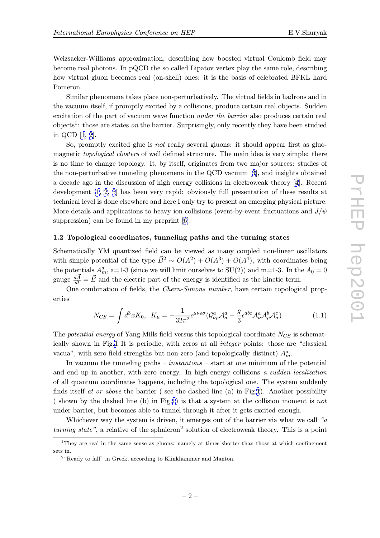<span id="page-1-0"></span>Weizsacker-Williams approximation, describing how boosted virtual Coulomb field may become real photons. In pQCD the so called Lipatov vertex play the same role, describing how virtual gluon becomes real (on-shell) ones: it is the basis of celebrated BFKL hard Pomeron.

Similar phenomena takes place non-perturbatively. The virtual fields in hadrons and in the vacuum itself, if promptly excited by a collisions, produce certain real objects. Sudden excitation of the part of vacuum wave function under the barrier also produces certain real objects<sup>1</sup>: those are states on the barrier. Surprisingly, only recently they have been studied in QCD [1, 2].

So, promptly excited glue is *not* really several gluons: it should appear first as gluomagnetic *topological clusters* of well defined structure. The main idea is very simple: there is no tim[e](#page-10-0) t[o](#page-10-0) change topology. It, by itself, originates from two major sources: studies of the non-perturbative tunneling phenomena in the QCD vacuum [3], and insights obtained a decade ago in the discussion of high energy collisions in electroweak theory [4]. Recent development [1, 2, 5] has been very rapid: obviously full presentation of these results at technical level is done elsewhere and here I only try to present an e[m](#page-10-0)erging physical picture. More details and applicatio[ns](#page-10-0) to heavy ion collisions (event-by-event fluctuations and  $J/\psi$ suppression) [ca](#page-10-0)n [be f](#page-10-0)ound in my preprint [6].

### 1.2 Topological coordinates, tunneling paths and the turning states

Schematically YM quantized field can be [v](#page-10-0)iewed as many coupled non-linear oscillators with simple potential of the type  $\vec{B}^2 \sim O(A^2) + O(A^3) + O(A^4)$ , with coordinates being the potentials  $A_m^a$ , a=1-3 (since we will limit ourselves to SU(2)) and m=1-3. In the  $A_0 = 0$ gauge  $\frac{d\vec{A}}{dt} = \vec{E}$  and the electric part of the energy is identified as the kinetic term.

One combination of fields, the Chern-Simons number, have certain topological properties

$$
N_{CS} = \int d^3x K_0, \quad K_{\mu} = -\frac{1}{32\pi^2} \epsilon^{\mu\nu\rho\sigma} (\mathcal{G}^a_{\nu\rho} \mathcal{A}^a_{\sigma} - \frac{g}{3} \epsilon^{abc} \mathcal{A}^a_{\nu} \mathcal{A}^b_{\rho} \mathcal{A}^c_{\sigma}) \tag{1.1}
$$

The potential energy of Yang-Mills field versus this topological coordinate  $N_{CS}$  is schematically shown in Fig.1 It is periodic, with zeros at all integer points: those are "classical vacua", with zero field strengths but non-zero (and topologically distinct)  $A_m^a$ .

In vacuum the tunneling paths –  $instantons$  – start at one minimum of the potential and end up in anot[he](#page-2-0)r, with zero energy. In high energy collisions a sudden localization of all quantum coordinates happens, including the topological one. The system suddenly finds itself at or above the barrier (see the dashed line (a) in Fig.1). Another possibility (shown by the dashed line (b) in Fig.1) is that a system at the collision moment is not under barrier, but becomes able to tunnel through it after it gets excited enough.

Whichever way the system is d[ri](#page-2-0)ven, it emerges out of the barrier via what we call "a turning state", a relative of the sphale[ro](#page-2-0)n<sup>2</sup> solution of electroweak theory. This is a point

<sup>&</sup>lt;sup>1</sup>They are real in the same sense as gluons: namely at times shorter than those at which confinement sets in.

<sup>&</sup>lt;sup>2</sup> "Ready to fall" in Greek, according to Klinkhammer and Manton.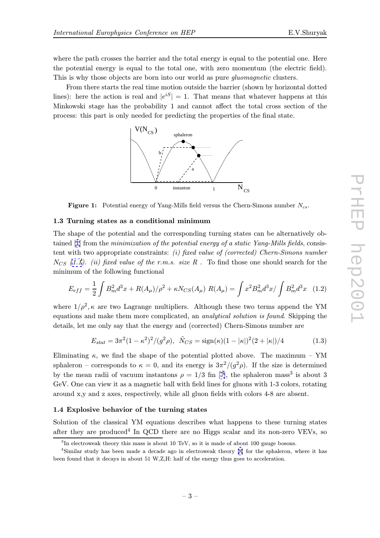<span id="page-2-0"></span>where the path crosses the barrier and the total energy is equal to the potential one. Here the potential energy is equal to the total one, with zero momentum (the electric field). This is why those objects are born into our world as pure *gluomagnetic* clusters.

From there starts the real time motion outside the barrier (shown by horizontal dotted lines): here the action is real and  $|e^{iS}| = 1$ . That means that whatever happens at this Minkowski stage has the probability 1 and cannot affect the total cross section of the process: this part is only needed for predicting the properties of the final state.



**Figure 1:** Potential energy of Yang-Mills field versus the Chern-Simons number  $N_{cs}$ .

### 1.3 Turning states as a conditional minimum

The shape of the potential and the corresponding turning states can be alternatively obtained  $[1]$  from the minimization of the potential energy of a static Yang-Mills fields, consistent with two appropriate constraints: (i) fixed value of (corrected) Chern-Simons number  $N_{CS}$  (1.1). (ii) fixed value of the r.m.s. size R. To find those one should search for the minim[um](#page-10-0) of the following functional

$$
E_{eff} = \frac{1}{2} \int B_m^2 d^3x + R(A_\mu) / \rho^2 + \kappa N_{CS}(A_\mu) R(A_\mu) = \int x^2 B_m^2 d^3x / \int B_m^2 d^3x \quad (1.2)
$$

where  $1/\rho^2$ ,  $\kappa$  are two Lagrange multipliers. Although these two terms append the YM equations and make them more complicated, an *analytical solution is found*. Skipping the details, let me only say that the energy and (corrected) Chern-Simons number are

$$
E_{stat} = 3\pi^2 (1 - \kappa^2)^2 / (g^2 \rho), \quad \tilde{N}_{CS} = \text{sign}(\kappa)(1 - |\kappa|)^2 (2 + |\kappa|)/4 \tag{1.3}
$$

Eliminating  $\kappa$ , we find the shape of the potential plotted above. The maximum – YM sphaleron – corresponds to  $\kappa = 0$ , and its energy is  $3\pi^2/(g^2 \rho)$ . If the size is determined by the mean radii of vacuum instantons  $\rho = 1/3$  fm [7], the sphaleron mass<sup>3</sup> is about 3 GeV. One can view it as a magnetic ball with field lines for gluons with 1-3 colors, rotating around x,y and z axes, respectively, while all gluon fields with colors 4-8 are absent.

### 1.4 Explosive behavior of the turning states

Solution of the classical YM equations describes what happens to these turning states after they are produced<sup>4</sup> In QCD there are no Higgs scalar and its non-zero VEVs, so

<sup>&</sup>lt;sup>3</sup>In electroweak theory this mass is about 10 TeV, so it is made of about 100 gauge bosons.

<sup>4</sup>Similar study has been made a decade ago in electroweak theory [8] for the sphaleron, where it has been found that it decays in about 51 W,Z,H: half of the energy thus goes to acceleration.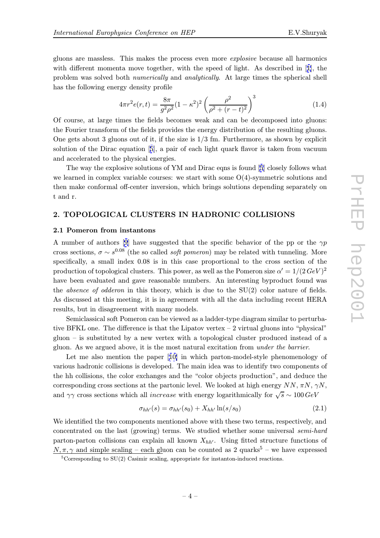gluons are massless. This makes the process even more explosive because all harmonics with different momenta move together, with the speed of light. As described in [1], the problem was solved both numerically and analytically. At large times the spherical shell has the following energy density profile

$$
4\pi r^2 e(r,t) = \frac{8\pi}{g^2 \rho^2} (1 - \kappa^2)^2 \left(\frac{\rho^2}{\rho^2 + (r - t)^2}\right)^3
$$
 (1.4)

Of course, at large times the fields becomes weak and can be decomposed into gluons: the Fourier transform of the fields provides the energy distribution of the resulting gluons. One gets about 3 gluons out of it, if the size is  $1/3$  fm. Furthermore, as shown by explicit solution of the Dirac equation [5], a pair of each light quark flavor is taken from vacuum and accelerated to the physical energies.

The way the explosive solutions of YM and Dirac eqns is found [5] closely follows what we learned in complex variable [co](#page-10-0)urses: we start with some O(4)-symmetric solutions and then make conformal off-center inversion, which brings solutions depending separately on t and r.

# 2. TOPOLOGICAL CLUSTERS IN HADRONIC COLLISIONS

### 2.1 Pomeron from instantons

A number of authors [9] have suggested that the specific behavior of the pp or the  $\gamma p$ cross sections,  $\sigma \sim s^{0.08}$  (the so called *soft pomeron*) may be related with tunneling. More specifically, a small index 0.08 is in this case proportional to the cross section of the production of topologic[al](#page-10-0) clusters. This power, as well as the Pomeron size  $\alpha' = 1/(2 \, GeV)^2$ have been evaluated and gave reasonable numbers. An interesting byproduct found was the *absence of odderon* in this theory, which is due to the  $SU(2)$  color nature of fields. As discussed at this meeting, it is in agreement with all the data including recent HERA results, but in disagreement with many models.

Semiclassical soft Pomeron can be viewed as a ladder-type diagram similar to perturbative BFKL one. The difference is that the Lipatov vertex – 2 virtual gluons into "physical" gluon – is substituted by a new vertex with a topological cluster produced instead of a gluon. As we argued above, it is the most natural excitation from under the barrier.

Let me also mention the paper [10] in which parton-model-style phenomenology of various hadronic collisions is developed. The main idea was to identify two components of the hh collisions, the color exchanges and the "color objects production", and deduce the corresponding cross sections at the pa[rton](#page-10-0)ic level. We looked at high energy  $NN$ ,  $\pi N$ ,  $\gamma N$ , and  $\gamma\gamma$  cross sections which all *increase* with energy logarithmically for  $\sqrt{s} \sim 100 \, \text{GeV}$ 

$$
\sigma_{hh'}(s) = \sigma_{hh'}(s_0) + X_{hh'} \ln(s/s_0)
$$
\n(2.1)

We identified the two components mentioned above with these two terms, respectively, and concentrated on the last (growing) terms. We studied whether some universal semi-hard parton-parton collisions can explain all known  $X_{hh'}$ . Using fitted structure functions of  $N, \pi, \gamma$  and simple scaling – each gluon can be counted as 2 quarks<sup>5</sup> – we have expressed

 ${}^{5}$ Corresponding to SU(2) Casimir scaling, appropriate for instanton-induced reactions.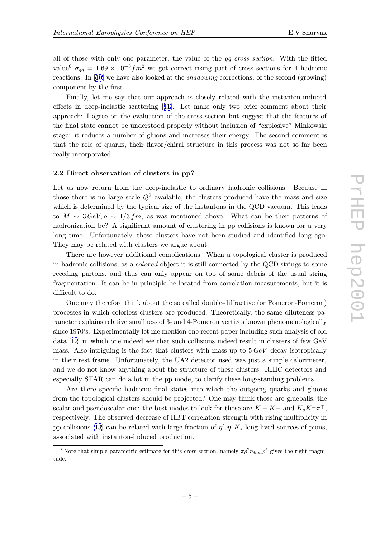all of those with only one parameter, the value of the qq cross section. With the fitted value<sup>6</sup>  $\sigma_{qq} = 1.69 \times 10^{-3} fm^2$  we got correct rising part of cross sections for 4 hadronic reactions. In [10] we have also looked at the *shadowing* corrections, of the second (growing) component by the first.

Finally, let me say that our approach is closely related with the instanton-induced effects in dee[p-i](#page-10-0)nelastic scattering [11]. Let make only two brief comment about their approach: I agree on the evaluation of the cross section but suggest that the features of the final state cannot be understood properly without inclusion of "explosive" Minkowski stage: it reduces a number of gluon[s a](#page-10-0)nd increases their energy. The second comment is that the role of quarks, their flavor/chiral structure in this process was not so far been really incorporated.

#### 2.2 Direct observation of clusters in pp?

Let us now return from the deep-inelastic to ordinary hadronic collisions. Because in those there is no large scale  $Q^2$  available, the clusters produced have the mass and size which is determined by the typical size of the instantons in the QCD vacuum. This leads to  $M \sim 3 \text{ GeV}, \rho \sim 1/3 \text{ fm}$ , as was mentioned above. What can be their patterns of hadronization be? A significant amount of clustering in pp collisions is known for a very long time. Unfortunately, these clusters have not been studied and identified long ago. They may be related with clusters we argue about.

There are however additional complications. When a topological cluster is produced in hadronic collisions, as a colored object it is still connected by the QCD strings to some receding partons, and thus can only appear on top of some debris of the usual string fragmentation. It can be in principle be located from correlation measurements, but it is difficult to do.

One may therefore think about the so called double-diffractive (or Pomeron-Pomeron) processes in which colorless clusters are produced. Theoretically, the same diluteness parameter explains relative smallness of 3- and 4-Pomeron vertices known phenomenologically since 1970's. Experimentally let me mention one recent paper including such analysis of old data [12] in which one indeed see that such collisions indeed result in clusters of few GeV mass. Also intriguing is the fact that clusters with mass up to  $5 \text{ GeV}$  decay isotropically in their rest frame. Unfortunately, the UA2 detector used was just a simple calorimeter, and [we d](#page-10-0)o not know anything about the structure of these clusters. RHIC detectors and especially STAR can do a lot in the pp mode, to clarify these long-standing problems.

Are there specific hadronic final states into which the outgoing quarks and gluons from the topological clusters should be projected? One may think those are glueballs, the scalar and pseudoscalar one: the best modes to look for those are  $K + K -$  and  $K_s K^{\pm} \pi^{\mp}$ , respectively. The observed decrease of HBT correlation strength with rising multiplicity in pp collisions [13] can be related with large fraction of  $\eta', \eta, K_s$  long-lived sources of pions, associated with instanton-induced production.

<sup>&</sup>lt;sup>6</sup>Note that simple parametric estimate for this cross section, namely  $\pi \rho^2 n_{inst} \rho^4$  gives the right magnitude.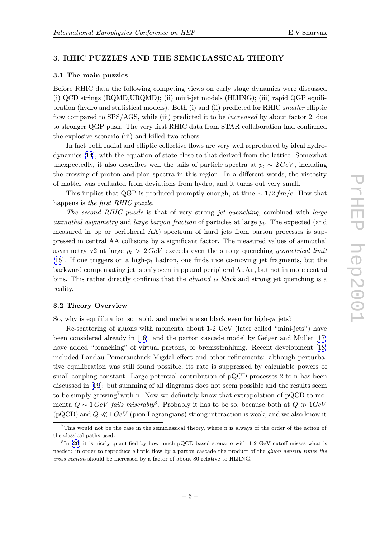# 3. RHIC PUZZLES AND THE SEMICLASSICAL THEORY

### 3.1 The main puzzles

Before RHIC data the following competing views on early stage dynamics were discussed (i) QCD strings (RQMD,URQMD); (ii) mini-jet models (HIJING); (iii) rapid QGP equilibration (hydro and statistical models). Both (i) and (ii) predicted for RHIC smaller elliptic flow compared to SPS/AGS, while (iii) predicted it to be *increased* by about factor 2, due to stronger QGP push. The very first RHIC data from STAR collaboration had confirmed the explosive scenario (iii) and killed two others.

In fact both radial and elliptic collective flows are very well reproduced by ideal hydrodynamics [14], with the equation of state close to that derived from the lattice. Somewhat unexpectedly, it also describes well the tails of particle spectra at  $p_t \sim 2 \text{GeV}$ , including the crossing of proton and pion spectra in this region. In a different words, the viscosity of matter [was](#page-10-0) evaluated from deviations from hydro, and it turns out very small.

This implies that QGP is produced promptly enough, at time  $\sim 1/2 fm/c$ . How that happens is the first RHIC puzzle.

The second RHIC puzzle is that of very strong jet quenching, combined with large azimuthal asymmetry and large baryon fraction of particles at large  $p_t$ . The expected (and measured in pp or peripheral AA) spectrum of hard jets from parton processes is suppressed in central AA collisions by a significant factor. The measured values of azimuthal asymmetry v2 at large  $p_t > 2 \text{ GeV}$  exceeds even the strong quenching geometrical limit [15]. If one triggers on a high- $p_t$  hadron, one finds nice co-moving jet fragments, but the backward compensating jet is only seen in pp and peripheral AuAu, but not in more central bins. This rather directly confirms that the almond is black and strong jet quenching is a [rea](#page-10-0)lity.

### 3.2 Theory Overview

So, why is equilibration so rapid, and nuclei are so black even for high- $p_t$  jets?

Re-scattering of gluons with momenta about 1-2 GeV (later called "mini-jets") have been considered already in [16], and the parton cascade model by Geiger and Muller [17] have added "branching" of virtual partons, or bremsstrahlung. Recent development [18] included Landau-Pomeranchuck-Migdal effect and other refinements: although perturbative equilibration was still [fou](#page-10-0)nd possible, its rate is suppressed by calculable power[s of](#page-10-0) small coupling constant. Large potential contribution of pQCD processes 2-to-n has b[een](#page-10-0) discussed in [19]: but summing of all diagrams does not seem possible and the results seem to be simply growing<sup>7</sup> with n. Now we definitely know that extrapolation of pQCD to momenta  $Q \sim 1 \text{ GeV}$  fails miserably<sup>8</sup>. Probably it has to be so, because both at  $Q \gg 1 \text{ GeV}$  $(pQCD)$  $(pQCD)$  $(pQCD)$  and  $Q \ll 1$  GeV (pion Lagrangians) strong interaction is weak, and we also know it

<sup>7</sup>This would not be the case in the semiclassical theory, where n is always of the order of the action of the classical paths used.

 ${}^{8}$ In [20] it is nicely quantified by how much pQCD-based scenario with 1-2 GeV cutoff misses what is needed: in order to reproduce elliptic flow by a parton cascade the product of the *gluon density times the* cross section should be increased by a factor of about 80 relative to HIJING.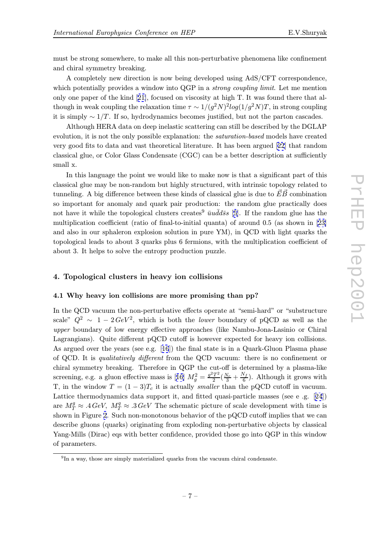A completely new direction is now being developed using AdS/CFT correspondence, which potentially provides a window into QGP in a *strong coupling limit*. Let me mention only one paper of the kind [21], focused on viscosity at high T. It was found there that although in weak coupling the relaxation time  $\tau \sim 1/(g^2 N)^2 log(1/g^2 N)T$ , in strong coupling it is simply  $\sim 1/T$ . If so, hydrodynamics becomes justified, but not the parton cascades.

Although HERA data o[n d](#page-10-0)eep inelastic scattering can still be described by the DGLAP evolution, it is not the only possible explanation: the *saturation-based* models have created very good fits to data and vast theoretical literature. It has been argued [22] that random classical glue, or Color Glass Condensate (CGC) can be a better description at sufficiently small x.

In this language the point we would like to make now is that a signifi[can](#page-11-0)t part of this classical glue may be non-random but highly structured, with intrinsic topology related to tunneling. A big difference between these kinds of classical glue is due to  $\vec{E}\vec{B}$  combination so important for anomaly and quark pair production: the random glue practically does not have it while the topological clusters creates<sup>9</sup>  $\bar{u}u\bar{d}d\bar{s}s$  [5]. If the random glue has the multiplication coefficient (ratio of final-to-initial quanta) of around 0.5 (as shown in [23] and also in our sphaleron explosion solution in pure YM), in QCD with light quarks the topological leads to about 3 quarks plus 6 fermions, with [th](#page-10-0)e multiplication coefficient of about 3. It helps to solve the entropy production puzzle.

### 4. Topological clusters in heavy ion collisions

### 4.1 Why heavy ion collisions are more promising than pp?

In the QCD vacuum the non-perturbative effects operate at "semi-hard" or "substructure scale"  $Q^2 \sim 1 - 2 \text{ GeV}^2$ , which is both the lower boundary of pQCD as well as the upper boundary of low energy effective approaches (like Nambu-Jona-Lasinio or Chiral Lagrangians). Quite different pQCD cutoff is however expected for heavy ion collisions. As argued over the years (see e.g. [16]) the final state is in a Quark-Gluon Plasma phase of QCD. It is qualitatively different from the QCD vacuum: there is no confinement or chiral symmetry breaking. Therefore in QGP the cut-off is determined by a plasma-like screening, e.g. a gluon effective ma[ss i](#page-10-0)s [16]  $M_g^2 = \frac{g^2 T^2}{2} (\frac{N_c}{3} + \frac{N_f}{6})$ . Although it grows with T, in the window  $T = (1-3)T_c$  it is actually *smaller* than the pQCD cutoff in vacuum. Lattice thermodynamics data support it, and fitted quasi-particle masses (see e .g. [24]) are  $M_T^g \approx .4 \text{ GeV}$ ,  $M_T^q \approx .3 \text{ GeV}$  The sc[hem](#page-10-0)atic picture of scale development with time is shown in Figure 2. Such non-monotonous behavior of the pQCD cutoff implies that we can describe gluons (quarks) originating from exploding non-perturbative objects by clas[sica](#page-11-0)l Yang-Mills (Dirac) eqs with better confidence, provided those go into QGP in this window of parameters.

<sup>9</sup>In a way, those are simply materialized quarks from the vacuum chiral condensate.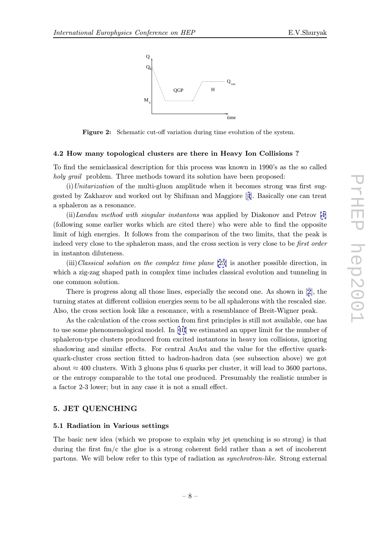

Figure 2: Schematic cut-off variation during time evolution of the system.

#### 4.2 How many topological clusters are there in Heavy Ion Collisions ?

To find the semiclassical description for this process was known in 1990's as the so called holy grail problem. Three methods toward its solution have been proposed:

 $(i)$ Unitarization of the multi-gluon amplitude when it becomes strong was first suggested by Zakharov and worked out by Shifman and Maggiore [4]. Basically one can treat a sphaleron as a resonance.

 $(i)$ Landau method with singular instantons was applied by Diakonov and Petrov [4] (following some earlier works which are cited there) who were [a](#page-10-0)ble to find the opposite limit of high energies. It follows from the comparison of the two limits, that the peak is indeed v[er](#page-10-0)y close to the sphaleron mass, and the cross section is very close to be *first order* in instanton diluteness.

(iii)Classical solution on the complex time plane [25] is another possible direction, in which a zig-zag shaped path in complex time includes classical evolution and tunneling in one common solution.

There is progress along all those lines, especially [the](#page-11-0) second one. As shown in [2], the turning states at different collision energies seem to be all sphalerons with the rescaled size. Also, the cross section look like a resonance, with a resemblance of Breit-Wigner peak.

As the calculation of the cross section from first principles is still not available, [on](#page-10-0)e has to use some phenomenological model. In [10] we estimated an upper limit for the number of sphaleron-type clusters produced from excited instantons in heavy ion collisions, ignoring shadowing and similar effects. For central AuAu and the value for the effective quarkquark-cluster cross section fitted to ha[dro](#page-10-0)n-hadron data (see subsection above) we got about  $\approx 400$  clusters. With 3 gluons plus 6 quarks per cluster, it will lead to 3600 partons, or the entropy comparable to the total one produced. Presumably the realistic number is a factor 2-3 lower; but in any case it is not a small effect.

# 5. **Jeho Quenching**

#### 5.1 Radiation in Various settings

The basic new idea (which we propose to explain why jet quenching is so strong) is that during the first  $fm/c$  the glue is a strong coherent field rather than a set of incoherent partons. We will below refer to this type of radiation as synchrotron-like. Strong external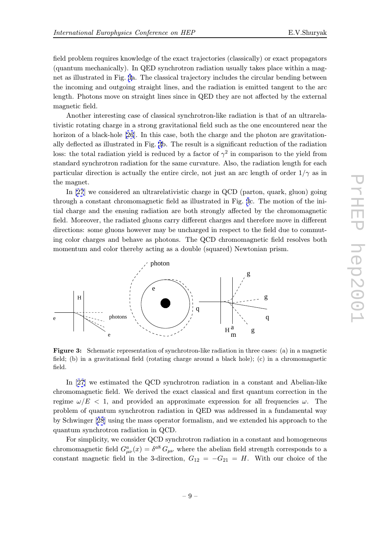field problem requires knowledge of the exact trajectories (classically) or exact propagators (quantum mechanically). In QED synchrotron radiation usually takes place within a magnet as illustrated in Fig. 3a. The classical trajectory includes the circular bending between the incoming and outgoing straight lines, and the radiation is emitted tangent to the arc length. Photons move on straight lines since in QED they are not affected by the external magnetic field.

Another interesting case of classical synchrotron-like radiation is that of an ultrarelativistic rotating charge in a strong gravitational field such as the one encountered near the horizon of a black-hole [26]. In this case, both the charge and the photon are gravitationally deflected as illustrated in Fig. 3b. The result is a significant reduction of the radiation loss: the total radiation yield is reduced by a factor of  $\gamma^2$  in comparison to the yield from standard synchrotron r[adia](#page-11-0)tion for the same curvature. Also, the radiation length for each particular direction is actually the entire circle, not just an arc length of order  $1/\gamma$  as in the magnet.

In [27] we considered an ultrarelativistic charge in QCD (parton, quark, gluon) going through a constant chromomagnetic field as illustrated in Fig. 3c. The motion of the initial charge and the ensuing radiation are both strongly affected by the chromomagnetic field. [More](#page-11-0)over, the radiated gluons carry different charges and therefore move in different directions: some gluons however may be uncharged in respect to the field due to commuting color charges and behave as photons. The QCD chromomagnetic field resolves both momentum and color thereby acting as a double (squared) Newtonian prism.



Figure 3: Schematic representation of synchrotron-like radiation in three cases: (a) in a magnetic field; (b) in a gravitational field (rotating charge around a black hole); (c) in a chromomagnetic field.

In [27] we estimated the QCD synchrotron radiation in a constant and Abelian-like chromomagnetic field. We derived the exact classical and first quantum correction in the regime  $\omega/E < 1$ , and provided an approximate expression for all frequencies  $\omega$ . The proble[m of](#page-11-0) quantum synchrotron radiation in QED was addressed in a fundamental way by Schwinger [28] using the mass operator formalism, and we extended his approach to the quantum synchrotron radiation in QCD.

For simplicity, we consider QCD synchrotron radiation in a constant and homogeneous chromomagne[tic](#page-11-0) field  $G_{\mu\nu}^a(x) = \delta^{a8} G_{\mu\nu}$  where the abelian field strength corresponds to a constant magnetic field in the 3-direction,  $G_{12} = -G_{21} = H$ . With our choice of the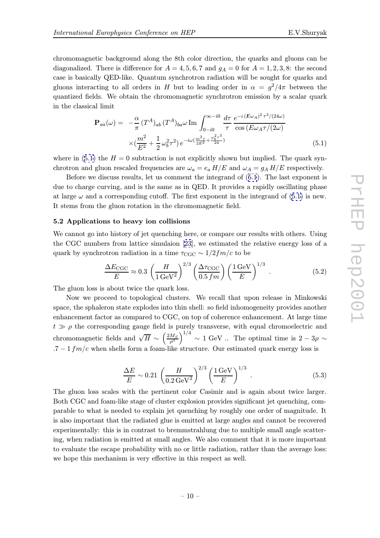chromomagnetic background along the 8th color direction, the quarks and gluons can be diagonalized. There is difference for  $A = 4, 5, 6, 7$  and  $g_A = 0$  for  $A = 1, 2, 3, 8$ : the second case is basically QED-like. Quantum synchrotron radiation will be sought for quarks and gluons interacting to all orders in H but to leading order in  $\alpha = g^2/4\pi$  between the quantized fields. We obtain the chromomagnetic synchrotron emission by a scalar quark in the classical limit

$$
\mathbf{P}_{aa}(\omega) = -\frac{\alpha}{\pi} (T^A)_{ab} (T^A)_{ba} \omega \operatorname{Im} \int_{0-i0}^{\infty - i0} \frac{d\tau}{\tau} \frac{e^{-i(E\omega_A)^2 \tau^3/(24\omega)}}{\cos(E\omega_A \tau/(2\omega))} \times (\frac{m^2}{E^2} + \frac{1}{2} \omega_b^2 \tau^2) e^{-i\omega(\frac{m^2 \tau}{2E^2} + \frac{\omega_b^2 \tau^3}{24})}
$$
(5.1)

where in (5.1) the  $H = 0$  subtraction is not explicitly shown but implied. The quark synchrotron and gluon rescaled frequencies are  $\omega_a = e_a H/E$  and  $\omega_A = g_A H/E$  respectively.

Before we discuss results, let us comment the integrand of (5.1). The last exponent is due to charge curving, and is the same as in QED. It provides a rapidly oscillating phase at large  $\omega$  and a corresponding cutoff. The first exponent in the integrand of (5.1) is new. It stems from the gluon rotation in the chromomagnetic field.

### 5.2 Applications to heavy ion collisions

We cannot go into history of jet quenching here, or compare our results with others. Using the CGC numbers from lattice simulaion [23], we estimated the relative energy loss of a quark by synchrotron radiation in a time  $\tau_{\text{CGC}} \sim 1/2fm/c$  to be

$$
\frac{\Delta E_{\text{CGC}}}{E} \approx 0.3 \left( \frac{H}{1 \,\text{GeV}^2} \right)^{2/3} \left( \frac{\Delta \tau_{\text{CGC}}}{0.5 \, fm} \right) \left( \frac{1 \,\text{GeV}}{E} \right)^{1/3} \,. \tag{5.2}
$$

The gluon loss is about twice the quark loss.

Now we proceed to topological clusters. We recall that upon release in Minkowski space, the sphaleron state explodes into thin shell: so field inhomogeneity provides another enhancement factor as compared to CGC, on top of coherence enhancement. At large time  $t \gg \rho$  the corresponding gauge field is purely transverse, with equal chromoelectric and chromomagnetic fields and  $\sqrt{H} \sim \left(\frac{2M_S}{\rho^3}\right)^{1/4} \sim 1$  GeV .. The optimal time is  $2-3\rho \sim$ .7 – 1  $fm/c$  when shells form a foam-like structure. Our estimated quark energy loss is

$$
\frac{\Delta E}{E} \sim 0.21 \left( \frac{H}{0.2 \,\text{GeV}^2} \right)^{2/3} \left( \frac{1 \,\text{GeV}}{E} \right)^{1/3} \,. \tag{5.3}
$$

The gluon loss scales with the pertinent color Casimir and is again about twice larger. Both CGC and foam-like stage of cluster explosion provides significant jet quenching, comparable to what is needed to explain jet quenching by roughly one order of magnitude. It is also important that the radiated glue is emitted at large angles and cannot be recovered experimentally: this is in contrast to bremmstrahlung due to multiple small angle scattering, when radiation is emitted at small angles. We also comment that it is more important to evaluate the escape probability with no or little radiation, rather than the average loss: we hope this mechanism is very effective in this respect as well.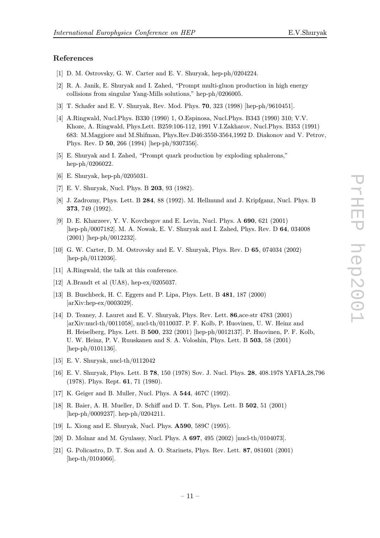### <span id="page-10-0"></span>References

- [1] D. M. Ostrovsky, G. W. Carter and E. V. Shuryak, hep-ph/0204224.
- [2] R. A. Janik, E. Shuryak and I. Zahed, "Prompt multi-gluon production in high energy collisions from singular Yang-Mills solutions," hep-ph/0206005.
- [3] T. Schafer and E. V. Shuryak, Rev. Mod. Phys. 70, 323 (1998) [hep-ph/9610451].
- [4] A.Ringwald, Nucl.Phys. B330 (1990) 1, O.Espinosa, Nucl.Phys. B343 (1990) 310; V.V. Khoze, A. Ringwald, Phys.Lett. B259:106-112, 1991 V.I.Zakharov, Nucl.Phys. B353 (1991) 683: M.Maggiore and M.Shifman, Phys.Rev.D46:3550-3564,1992 D. Diakonov and V. Petrov, Phys. Rev. D 50, 266 (1994) [hep-ph/9307356].
- [5] E. Shuryak and I. Zahed, "Prompt quark production by exploding sphalerons," hep-ph/0206022.
- [6] E. Shuryak, hep-ph/0205031.
- [7] E. V. Shuryak, Nucl. Phys. B 203, 93 (1982).
- [8] J. Zadrozny, Phys. Lett. B 284, 88 (1992). M. Hellmund and J. Kripfganz, Nucl. Phys. B 373, 749 (1992).
- [9] D. E. Kharzeev, Y. V. Kovchegov and E. Levin, Nucl. Phys. A 690, 621 (2001) [hep-ph/0007182]. M. A. Nowak, E. V. Shuryak and I. Zahed, Phys. Rev. D 64, 034008 (2001) [hep-ph/0012232].
- [10] G. W. Carter, D. M. Ostrovsky and E. V. Shuryak, Phys. Rev. D 65, 074034 (2002) [hep-ph/0112036].
- [11] A.Ringwald, the talk at this conference.
- [12] A.Brandt et al (UA8), hep-ex/0205037.
- [13] B. Buschbeck, H. C. Eggers and P. Lipa, Phys. Lett. B 481, 187 (2000) [arXiv:hep-ex/0003029].
- [14] D. Teaney, J. Lauret and E. V. Shuryak, Phys. Rev. Lett. 86,ace-str 4783 (2001) [arXiv:nucl-th/0011058], nucl-th/0110037. P. F. Kolb, P. Huovinen, U. W. Heinz and H. Heiselberg, Phys. Lett. B 500, 232 (2001) [hep-ph/0012137]. P. Huovinen, P. F. Kolb, U. W. Heinz, P. V. Ruuskanen and S. A. Voloshin, Phys. Lett. B 503, 58 (2001) [hep-ph/0101136].
- [15] E. V. Shuryak, nucl-th/0112042
- [16] E. V. Shuryak, Phys. Lett. B 78, 150 (1978) Sov. J. Nucl. Phys. 28, 408.1978 YAFIA,28,796 (1978). Phys. Rept. 61, 71 (1980).
- [17] K. Geiger and B. Muller, Nucl. Phys. A 544, 467C (1992).
- [18] R. Baier, A. H. Mueller, D. Schiff and D. T. Son, Phys. Lett. B 502, 51 (2001) [hep-ph/0009237]. hep-ph/0204211.
- [19] L. Xiong and E. Shuryak, Nucl. Phys. A590, 589C (1995).
- [20] D. Molnar and M. Gyulassy, Nucl. Phys. A 697, 495 (2002) [nucl-th/0104073].
- [21] G. Policastro, D. T. Son and A. O. Starinets, Phys. Rev. Lett. 87, 081601 (2001) [hep-th/0104066].